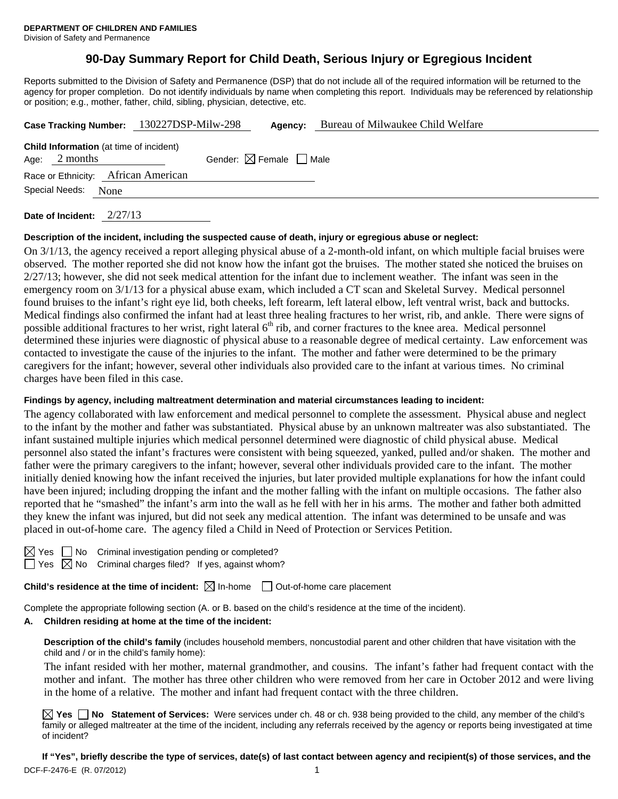# **90-Day Summary Report for Child Death, Serious Injury or Egregious Incident**

Reports submitted to the Division of Safety and Permanence (DSP) that do not include all of the required information will be returned to the agency for proper completion. Do not identify individuals by name when completing this report. Individuals may be referenced by relationship or position; e.g., mother, father, child, sibling, physician, detective, etc.

| Case Tracking Number: 130227DSP-Milw-298                                                                    |  |  |  | Agency: | Bureau of Milwaukee Child Welfare |  |  |  |  |
|-------------------------------------------------------------------------------------------------------------|--|--|--|---------|-----------------------------------|--|--|--|--|
| <b>Child Information</b> (at time of incident)<br>Gender: $\boxtimes$ Female $\Box$ Male<br>Age: $2$ months |  |  |  |         |                                   |  |  |  |  |
| Race or Ethnicity: African American                                                                         |  |  |  |         |                                   |  |  |  |  |
| Special Needs: None                                                                                         |  |  |  |         |                                   |  |  |  |  |
|                                                                                                             |  |  |  |         |                                   |  |  |  |  |

**Date of Incident:** 2/27/13

#### **Description of the incident, including the suspected cause of death, injury or egregious abuse or neglect:**

On 3/1/13, the agency received a report alleging physical abuse of a 2-month-old infant, on which multiple facial bruises were observed. The mother reported she did not know how the infant got the bruises. The mother stated she noticed the bruises on  $2/27/13$ ; however, she did not seek medical attention for the infant due to inclement weather. The infant was seen in the emergency room on 3/1/13 for a physical abuse exam, which included a CT scan and Skeletal Survey. Medical personnel found bruises to the infant's right eye lid, both cheeks, left forearm, left lateral elbow, left ventral wrist, back and buttocks. Medical findings also confirmed the infant had at least three healing fractures to her wrist, rib, and ankle. There were signs of possible additional fractures to her wrist, right lateral 6<sup>th</sup> rib, and corner fractures to the knee area. Medical personnel determined these injuries were diagnostic of physical abuse to a reasonable degree of medical certainty. Law enforcement was contacted to investigate the cause of the injuries to the infant. The mother and father were determined to be the primary caregivers for the infant; however, several other individuals also provided care to the infant at various times. No criminal charges have been filed in this case.

# **Findings by agency, including maltreatment determination and material circumstances leading to incident:**

The agency collaborated with law enforcement and medical personnel to complete the assessment. Physical abuse and neglect to the infant by the mother and father was substantiated. Physical abuse by an unknown maltreater was also substantiated. The infant sustained multiple injuries which medical personnel determined were diagnostic of child physical abuse. Medical personnel also stated the infant's fractures were consistent with being squeezed, yanked, pulled and/or shaken. The mother and father were the primary caregivers to the infant; however, several other individuals provided care to the infant. The mother initially denied knowing how the infant received the injuries, but later provided multiple explanations for how the infant could have been injured; including dropping the infant and the mother falling with the infant on multiple occasions. The father also reported that he "smashed" the infant's arm into the wall as he fell with her in his arms. The mother and father both admitted they knew the infant was injured, but did not seek any medical attention. The infant was determined to be unsafe and was placed in out-of-home care. The agency filed a Child in Need of Protection or Services Petition.

No Criminal investigation pending or completed?

 $\Box$  Yes  $\boxtimes$  No Criminal charges filed? If yes, against whom?

**Child's residence at the time of incident:**  $\boxtimes$  In-home  $\Box$  Out-of-home care placement

Complete the appropriate following section (A. or B. based on the child's residence at the time of the incident).

#### **A. Children residing at home at the time of the incident:**

**Description of the child's family** (includes household members, noncustodial parent and other children that have visitation with the child and / or in the child's family home):

 The infant resided with her mother, maternal grandmother, and cousins. The infant's father had frequent contact with the mother and infant. The mother has three other children who were removed from her care in October 2012 and were living in the home of a relative. The mother and infant had frequent contact with the three children.

**Yes No Statement of Services:** Were services under ch. 48 or ch. 938 being provided to the child, any member of the child's family or alleged maltreater at the time of the incident, including any referrals received by the agency or reports being investigated at time of incident?

DCF-F-2476-E (R. 07/2012) 1 **If "Yes", briefly describe the type of services, date(s) of last contact between agency and recipient(s) of those services, and the**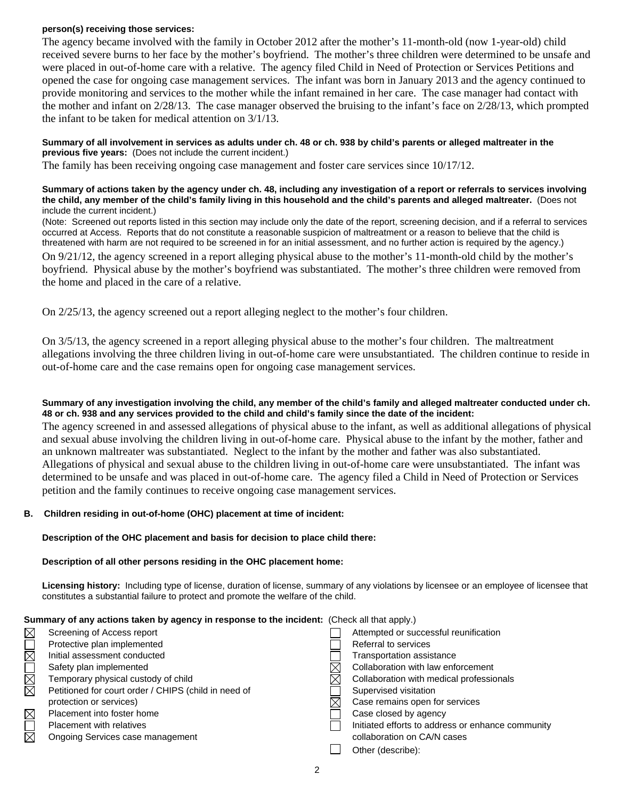#### **person(s) receiving those services:**

The agency became involved with the family in October 2012 after the mother's 11-month-old (now 1-year-old) child received severe burns to her face by the mother's boyfriend. The mother's three children were determined to be unsafe and were placed in out-of-home care with a relative. The agency filed Child in Need of Protection or Services Petitions and opened the case for ongoing case management services. The infant was born in January 2013 and the agency continued to provide monitoring and services to the mother while the infant remained in her care. The case manager had contact with the mother and infant on 2/28/13. The case manager observed the bruising to the infant's face on 2/28/13, which prompted the infant to be taken for medical attention on 3/1/13.

#### **Summary of all involvement in services as adults under ch. 48 or ch. 938 by child's parents or alleged maltreater in the previous five years:** (Does not include the current incident.)

The family has been receiving ongoing case management and foster care services since 10/17/12.

#### **Summary of actions taken by the agency under ch. 48, including any investigation of a report or referrals to services involving the child, any member of the child's family living in this household and the child's parents and alleged maltreater.** (Does not include the current incident.)

(Note: Screened out reports listed in this section may include only the date of the report, screening decision, and if a referral to services occurred at Access. Reports that do not constitute a reasonable suspicion of maltreatment or a reason to believe that the child is threatened with harm are not required to be screened in for an initial assessment, and no further action is required by the agency.)

On 9/21/12, the agency screened in a report alleging physical abuse to the mother's 11-month-old child by the mother's boyfriend. Physical abuse by the mother's boyfriend was substantiated. The mother's three children were removed from the home and placed in the care of a relative.

On 2/25/13, the agency screened out a report alleging neglect to the mother's four children.

On 3/5/13, the agency screened in a report alleging physical abuse to the mother's four children. The maltreatment allegations involving the three children living in out-of-home care were unsubstantiated. The children continue to reside in out-of-home care and the case remains open for ongoing case management services.

## **Summary of any investigation involving the child, any member of the child's family and alleged maltreater conducted under ch. 48 or ch. 938 and any services provided to the child and child's family since the date of the incident:**

The agency screened in and assessed allegations of physical abuse to the infant, as well as additional allegations of physical and sexual abuse involving the children living in out-of-home care. Physical abuse to the infant by the mother, father and an unknown maltreater was substantiated. Neglect to the infant by the mother and father was also substantiated. Allegations of physical and sexual abuse to the children living in out-of-home care were unsubstantiated. The infant was determined to be unsafe and was placed in out-of-home care. The agency filed a Child in Need of Protection or Services petition and the family continues to receive ongoing case management services.

#### **B. Children residing in out-of-home (OHC) placement at time of incident:**

#### **Description of the OHC placement and basis for decision to place child there:**

#### **Description of all other persons residing in the OHC placement home:**

**Licensing history:** Including type of license, duration of license, summary of any violations by licensee or an employee of licensee that constitutes a substantial failure to protect and promote the welfare of the child.

| Summary of any actions taken by agency in response to the incident: (Check all that apply.) |                                                      |  |                                                   |  |  |
|---------------------------------------------------------------------------------------------|------------------------------------------------------|--|---------------------------------------------------|--|--|
|                                                                                             | Screening of Access report                           |  | Attempted or successful reunification             |  |  |
| XXOXOX                                                                                      | Protective plan implemented                          |  | Referral to services                              |  |  |
|                                                                                             | Initial assessment conducted                         |  | Transportation assistance                         |  |  |
|                                                                                             | Safety plan implemented                              |  | Collaboration with law enforcement                |  |  |
|                                                                                             | Temporary physical custody of child                  |  | Collaboration with medical professionals          |  |  |
|                                                                                             | Petitioned for court order / CHIPS (child in need of |  | Supervised visitation                             |  |  |
|                                                                                             | protection or services)                              |  | Case remains open for services                    |  |  |
| $\boxtimes$                                                                                 | Placement into foster home                           |  | Case closed by agency                             |  |  |
| $\Box$                                                                                      | <b>Placement with relatives</b>                      |  | Initiated efforts to address or enhance community |  |  |
|                                                                                             | Ongoing Services case management                     |  | collaboration on CA/N cases                       |  |  |
|                                                                                             |                                                      |  | Other (describe):                                 |  |  |